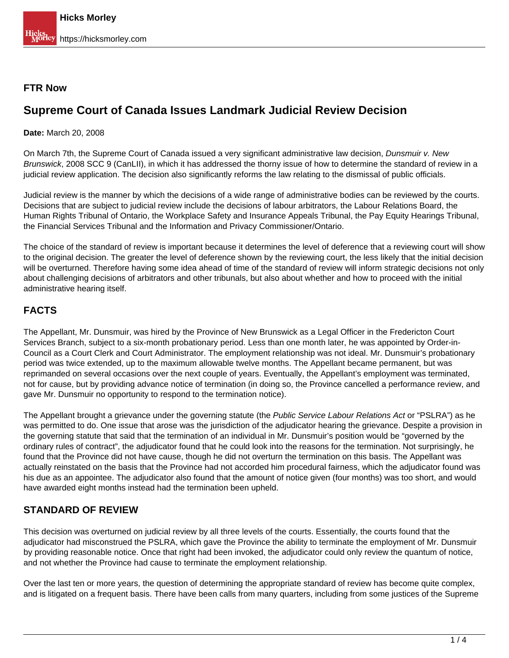## **FTR Now**

# **Supreme Court of Canada Issues Landmark Judicial Review Decision**

## **Date:** March 20, 2008

On March 7th, the Supreme Court of Canada issued a very significant administrative law decision, Dunsmuir v. New Brunswick, 2008 SCC 9 (CanLII), in which it has addressed the thorny issue of how to determine the standard of review in a judicial review application. The decision also significantly reforms the law relating to the dismissal of public officials.

Judicial review is the manner by which the decisions of a wide range of administrative bodies can be reviewed by the courts. Decisions that are subject to judicial review include the decisions of labour arbitrators, the Labour Relations Board, the Human Rights Tribunal of Ontario, the Workplace Safety and Insurance Appeals Tribunal, the Pay Equity Hearings Tribunal, the Financial Services Tribunal and the Information and Privacy Commissioner/Ontario.

The choice of the standard of review is important because it determines the level of deference that a reviewing court will show to the original decision. The greater the level of deference shown by the reviewing court, the less likely that the initial decision will be overturned. Therefore having some idea ahead of time of the standard of review will inform strategic decisions not only about challenging decisions of arbitrators and other tribunals, but also about whether and how to proceed with the initial administrative hearing itself.

# **FACTS**

The Appellant, Mr. Dunsmuir, was hired by the Province of New Brunswick as a Legal Officer in the Fredericton Court Services Branch, subject to a six-month probationary period. Less than one month later, he was appointed by Order-in-Council as a Court Clerk and Court Administrator. The employment relationship was not ideal. Mr. Dunsmuir's probationary period was twice extended, up to the maximum allowable twelve months. The Appellant became permanent, but was reprimanded on several occasions over the next couple of years. Eventually, the Appellant's employment was terminated, not for cause, but by providing advance notice of termination (in doing so, the Province cancelled a performance review, and gave Mr. Dunsmuir no opportunity to respond to the termination notice).

The Appellant brought a grievance under the governing statute (the Public Service Labour Relations Act or "PSLRA") as he was permitted to do. One issue that arose was the jurisdiction of the adjudicator hearing the grievance. Despite a provision in the governing statute that said that the termination of an individual in Mr. Dunsmuir's position would be "governed by the ordinary rules of contract", the adjudicator found that he could look into the reasons for the termination. Not surprisingly, he found that the Province did not have cause, though he did not overturn the termination on this basis. The Appellant was actually reinstated on the basis that the Province had not accorded him procedural fairness, which the adjudicator found was his due as an appointee. The adjudicator also found that the amount of notice given (four months) was too short, and would have awarded eight months instead had the termination been upheld.

# **STANDARD OF REVIEW**

This decision was overturned on judicial review by all three levels of the courts. Essentially, the courts found that the adjudicator had misconstrued the PSLRA, which gave the Province the ability to terminate the employment of Mr. Dunsmuir by providing reasonable notice. Once that right had been invoked, the adjudicator could only review the quantum of notice, and not whether the Province had cause to terminate the employment relationship.

Over the last ten or more years, the question of determining the appropriate standard of review has become quite complex, and is litigated on a frequent basis. There have been calls from many quarters, including from some justices of the Supreme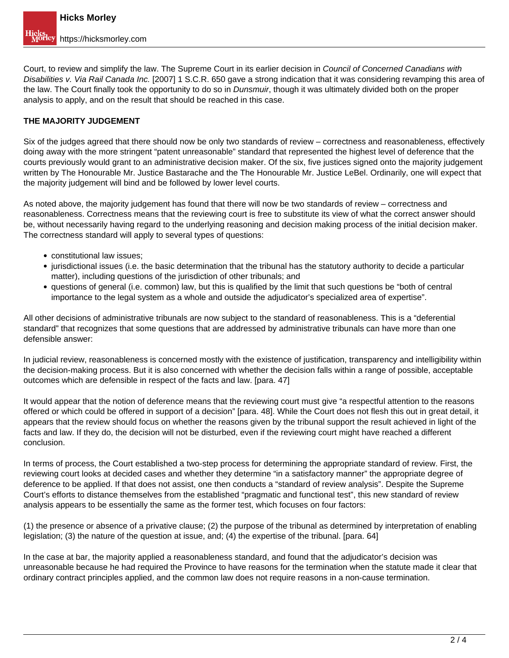Court, to review and simplify the law. The Supreme Court in its earlier decision in Council of Concerned Canadians with Disabilities v. Via Rail Canada Inc. [2007] 1 S.C.R. 650 gave a strong indication that it was considering revamping this area of the law. The Court finally took the opportunity to do so in *Dunsmuir*, though it was ultimately divided both on the proper analysis to apply, and on the result that should be reached in this case.

## **THE MAJORITY JUDGEMENT**

Six of the judges agreed that there should now be only two standards of review – correctness and reasonableness, effectively doing away with the more stringent "patent unreasonable" standard that represented the highest level of deference that the courts previously would grant to an administrative decision maker. Of the six, five justices signed onto the majority judgement written by The Honourable Mr. Justice Bastarache and the The Honourable Mr. Justice LeBel. Ordinarily, one will expect that the majority judgement will bind and be followed by lower level courts.

As noted above, the majority judgement has found that there will now be two standards of review – correctness and reasonableness. Correctness means that the reviewing court is free to substitute its view of what the correct answer should be, without necessarily having regard to the underlying reasoning and decision making process of the initial decision maker. The correctness standard will apply to several types of questions:

- constitutional law issues;
- jurisdictional issues (i.e. the basic determination that the tribunal has the statutory authority to decide a particular matter), including questions of the jurisdiction of other tribunals; and
- questions of general (i.e. common) law, but this is qualified by the limit that such questions be "both of central importance to the legal system as a whole and outside the adjudicator's specialized area of expertise".

All other decisions of administrative tribunals are now subject to the standard of reasonableness. This is a "deferential standard" that recognizes that some questions that are addressed by administrative tribunals can have more than one defensible answer:

In judicial review, reasonableness is concerned mostly with the existence of justification, transparency and intelligibility within the decision-making process. But it is also concerned with whether the decision falls within a range of possible, acceptable outcomes which are defensible in respect of the facts and law. [para. 47]

It would appear that the notion of deference means that the reviewing court must give "a respectful attention to the reasons offered or which could be offered in support of a decision" [para. 48]. While the Court does not flesh this out in great detail, it appears that the review should focus on whether the reasons given by the tribunal support the result achieved in light of the facts and law. If they do, the decision will not be disturbed, even if the reviewing court might have reached a different conclusion.

In terms of process, the Court established a two-step process for determining the appropriate standard of review. First, the reviewing court looks at decided cases and whether they determine "in a satisfactory manner" the appropriate degree of deference to be applied. If that does not assist, one then conducts a "standard of review analysis". Despite the Supreme Court's efforts to distance themselves from the established "pragmatic and functional test", this new standard of review analysis appears to be essentially the same as the former test, which focuses on four factors:

(1) the presence or absence of a privative clause; (2) the purpose of the tribunal as determined by interpretation of enabling legislation; (3) the nature of the question at issue, and; (4) the expertise of the tribunal. [para. 64]

In the case at bar, the majority applied a reasonableness standard, and found that the adjudicator's decision was unreasonable because he had required the Province to have reasons for the termination when the statute made it clear that ordinary contract principles applied, and the common law does not require reasons in a non-cause termination.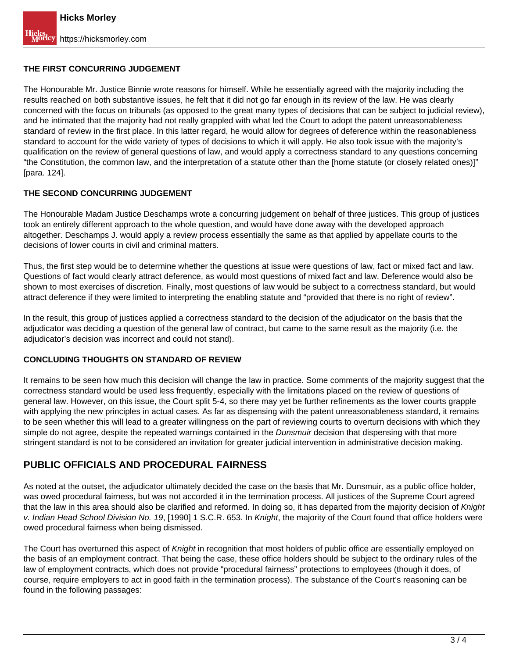## **THE FIRST CONCURRING JUDGEMENT**

The Honourable Mr. Justice Binnie wrote reasons for himself. While he essentially agreed with the majority including the results reached on both substantive issues, he felt that it did not go far enough in its review of the law. He was clearly concerned with the focus on tribunals (as opposed to the great many types of decisions that can be subject to judicial review), and he intimated that the majority had not really grappled with what led the Court to adopt the patent unreasonableness standard of review in the first place. In this latter regard, he would allow for degrees of deference within the reasonableness standard to account for the wide variety of types of decisions to which it will apply. He also took issue with the majority's qualification on the review of general questions of law, and would apply a correctness standard to any questions concerning "the Constitution, the common law, and the interpretation of a statute other than the [home statute (or closely related ones)]" [para. 124].

### **THE SECOND CONCURRING JUDGEMENT**

The Honourable Madam Justice Deschamps wrote a concurring judgement on behalf of three justices. This group of justices took an entirely different approach to the whole question, and would have done away with the developed approach altogether. Deschamps J. would apply a review process essentially the same as that applied by appellate courts to the decisions of lower courts in civil and criminal matters.

Thus, the first step would be to determine whether the questions at issue were questions of law, fact or mixed fact and law. Questions of fact would clearly attract deference, as would most questions of mixed fact and law. Deference would also be shown to most exercises of discretion. Finally, most questions of law would be subject to a correctness standard, but would attract deference if they were limited to interpreting the enabling statute and "provided that there is no right of review".

In the result, this group of justices applied a correctness standard to the decision of the adjudicator on the basis that the adjudicator was deciding a question of the general law of contract, but came to the same result as the majority (i.e. the adjudicator's decision was incorrect and could not stand).

### **CONCLUDING THOUGHTS ON STANDARD OF REVIEW**

It remains to be seen how much this decision will change the law in practice. Some comments of the majority suggest that the correctness standard would be used less frequently, especially with the limitations placed on the review of questions of general law. However, on this issue, the Court split 5-4, so there may yet be further refinements as the lower courts grapple with applying the new principles in actual cases. As far as dispensing with the patent unreasonableness standard, it remains to be seen whether this will lead to a greater willingness on the part of reviewing courts to overturn decisions with which they simple do not agree, despite the repeated warnings contained in the *Dunsmuir* decision that dispensing with that more stringent standard is not to be considered an invitation for greater judicial intervention in administrative decision making.

# **PUBLIC OFFICIALS AND PROCEDURAL FAIRNESS**

As noted at the outset, the adjudicator ultimately decided the case on the basis that Mr. Dunsmuir, as a public office holder, was owed procedural fairness, but was not accorded it in the termination process. All justices of the Supreme Court agreed that the law in this area should also be clarified and reformed. In doing so, it has departed from the majority decision of Knight v. Indian Head School Division No. 19, [1990] 1 S.C.R. 653. In Knight, the majority of the Court found that office holders were owed procedural fairness when being dismissed.

The Court has overturned this aspect of Knight in recognition that most holders of public office are essentially employed on the basis of an employment contract. That being the case, these office holders should be subject to the ordinary rules of the law of employment contracts, which does not provide "procedural fairness" protections to employees (though it does, of course, require employers to act in good faith in the termination process). The substance of the Court's reasoning can be found in the following passages: